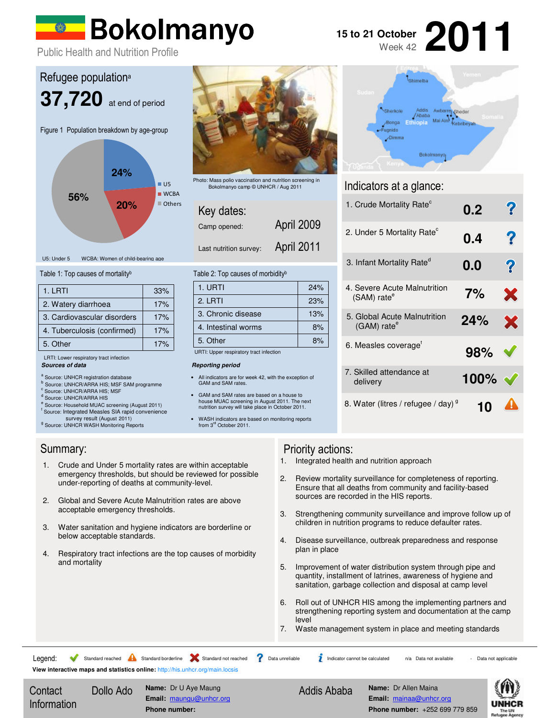# Bokolmanyo

**2011 15 to 21 October** Week 42

Public Health and Nutrition Profile



### Table 1: Top causes of mortality<sup>b</sup>

| 1. LRTI                     | 33% |
|-----------------------------|-----|
| 2. Watery diarrhoea         | 17% |
| 3. Cardiovascular disorders | 17% |
| 4. Tuberculosis (confirmed) | 17% |
| 5. Other                    | 17% |

#### **Sources of data**  LRTI: Lower respiratory tract infection

- a Source: UNHCR registration database
- <sup>b</sup> Source: UNHCR/ARRA HIS; MSF SAM programme
- c Source: UNHCR/ARRA HIS; MSF
- <sup>d</sup> Source: UNHCR/ARRA HIS
- e Source: Household MUAC screening (August 2011) f Source: Integrated Measles SIA rapid convenience
- survey result (August 2011)
- g<br>
Source: UNHCR WASH Monitoring Reports



Photo: Mass polio vaccination and nutrition screening in Bokolmanyo camp © UNHCR / Aug 2011

April 2009

| Key dates:   |  |
|--------------|--|
| Camp opened: |  |

Last nutrition survey: April 2011

#### Table 2: Top causes of morbidity<sup>b</sup>

| 1. URTI             | 24% |  |
|---------------------|-----|--|
| $2.1$ RTI           | 23% |  |
| 3. Chronic disease  | 13% |  |
| 4. Intestinal worms | 8%  |  |
| 5. Other            | 8%  |  |

URTI: Upper respiratory tract infection

#### **Reporting period**

- All indicators are for week 42, with the exception of GAM and SAM rates.
- GAM and SAM rates are based on a house to house MUAC screening in August 2011. The next nutrition survey will take place in October 2011.

• WASH indicators are based on monitoring reports from 3<sup>rd</sup> October 2011.

- 1. Crude and Under 5 mortality rates are within acceptable emergency thresholds, but should be reviewed for possible under-reporting of deaths at community-level.
- 2. Global and Severe Acute Malnutrition rates are above acceptable emergency thresholds.
- 3. Water sanitation and hygiene indicators are borderline or below acceptable standards.
- 4. Respiratory tract infections are the top causes of morbidity and mortality

#### Shimetha **P** Sheder Sherkole Mai Ain<sup>2</sup> Kebribeyah Bonga Fugnido  $\sqrt{D}$ imma Bokolmanyo

## Indicators at a glance:

| 1. Crude Mortality Rate <sup>c</sup>                      | 0.2  | $\boldsymbol{v}$ |
|-----------------------------------------------------------|------|------------------|
| 2. Under 5 Mortality Rate <sup>c</sup>                    | 0.4  | ?                |
| 3. Infant Mortality Rate <sup>d</sup>                     | 0.0  | ?                |
| 4. Severe Acute Malnutrition<br>$(SAM)$ rate <sup>e</sup> | 7%   | X                |
| 5. Global Acute Malnutrition<br>$(GAM)$ rate <sup>e</sup> | 24%  | x                |
| 6. Measles coverage <sup>t</sup>                          | 98%  |                  |
| 7. Skilled attendance at<br>delivery                      | 100% |                  |
| 8. Water (litres / refugee / day) <sup>9</sup>            |      |                  |

#### Summary: Priority actions:

- 1. Integrated health and nutrition approach
- 2. Review mortality surveillance for completeness of reporting. Ensure that all deaths from community and facility-based sources are recorded in the HIS reports.
- 3. Strengthening community surveillance and improve follow up of children in nutrition programs to reduce defaulter rates.
- 4. Disease surveillance, outbreak preparedness and response plan in place
- 5. Improvement of water distribution system through pipe and quantity, installment of latrines, awareness of hygiene and sanitation, garbage collection and disposal at camp level
- 6. Roll out of UNHCR HIS among the implementing partners and strengthening reporting system and documentation at the camp level
- 7. Waste management system in place and meeting standards

**View interactive maps and statistics online:** http://his.unhcr.org/main.locsis Legend: Standard reached A Standard borderline Standard not reached ? Data unreliable indicator cannot be calculated n/a Data not available - Data not applicable

**Contact** Information Dollo Ado **Name:** Dr U Aye Maung **Email:** maungu@unhcr.org **Phone number:** 

Addis Ababa **Name:** Dr Allen Maina

**Email:** mainaa@unhcr.org **Phone number:** +252 699 779 859